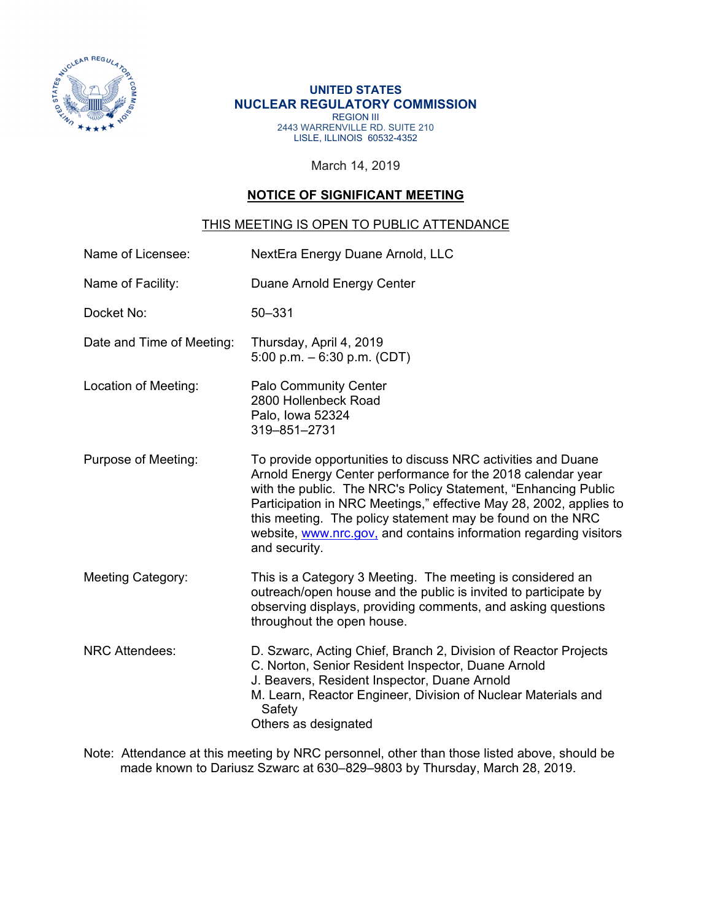

## **UNITED STATES NUCLEAR REGULATORY COMMISSION**  REGION III 2443 WARRENVILLE RD. SUITE 210 LISLE, ILLINOIS 60532-4352

March 14, 2019

## **NOTICE OF SIGNIFICANT MEETING**

## THIS MEETING IS OPEN TO PUBLIC ATTENDANCE

| Name of Licensee:         | NextEra Energy Duane Arnold, LLC                                                                                                                                                                                                                                                                                                                                                                                        |  |  |  |
|---------------------------|-------------------------------------------------------------------------------------------------------------------------------------------------------------------------------------------------------------------------------------------------------------------------------------------------------------------------------------------------------------------------------------------------------------------------|--|--|--|
| Name of Facility:         | Duane Arnold Energy Center                                                                                                                                                                                                                                                                                                                                                                                              |  |  |  |
| Docket No:                | $50 - 331$                                                                                                                                                                                                                                                                                                                                                                                                              |  |  |  |
| Date and Time of Meeting: | Thursday, April 4, 2019<br>5:00 p.m. $-6:30$ p.m. (CDT)                                                                                                                                                                                                                                                                                                                                                                 |  |  |  |
| Location of Meeting:      | <b>Palo Community Center</b><br>2800 Hollenbeck Road<br>Palo, Iowa 52324<br>319-851-2731                                                                                                                                                                                                                                                                                                                                |  |  |  |
| Purpose of Meeting:       | To provide opportunities to discuss NRC activities and Duane<br>Arnold Energy Center performance for the 2018 calendar year<br>with the public. The NRC's Policy Statement, "Enhancing Public<br>Participation in NRC Meetings," effective May 28, 2002, applies to<br>this meeting. The policy statement may be found on the NRC<br>website, www.nrc.gov, and contains information regarding visitors<br>and security. |  |  |  |
| <b>Meeting Category:</b>  | This is a Category 3 Meeting. The meeting is considered an<br>outreach/open house and the public is invited to participate by<br>observing displays, providing comments, and asking questions<br>throughout the open house.                                                                                                                                                                                             |  |  |  |
| <b>NRC Attendees:</b>     | D. Szwarc, Acting Chief, Branch 2, Division of Reactor Projects<br>C. Norton, Senior Resident Inspector, Duane Arnold<br>J. Beavers, Resident Inspector, Duane Arnold<br>M. Learn, Reactor Engineer, Division of Nuclear Materials and<br>Safety<br>Others as designated                                                                                                                                                |  |  |  |

Note: Attendance at this meeting by NRC personnel, other than those listed above, should be made known to Dariusz Szwarc at 630–829–9803 by Thursday, March 28, 2019.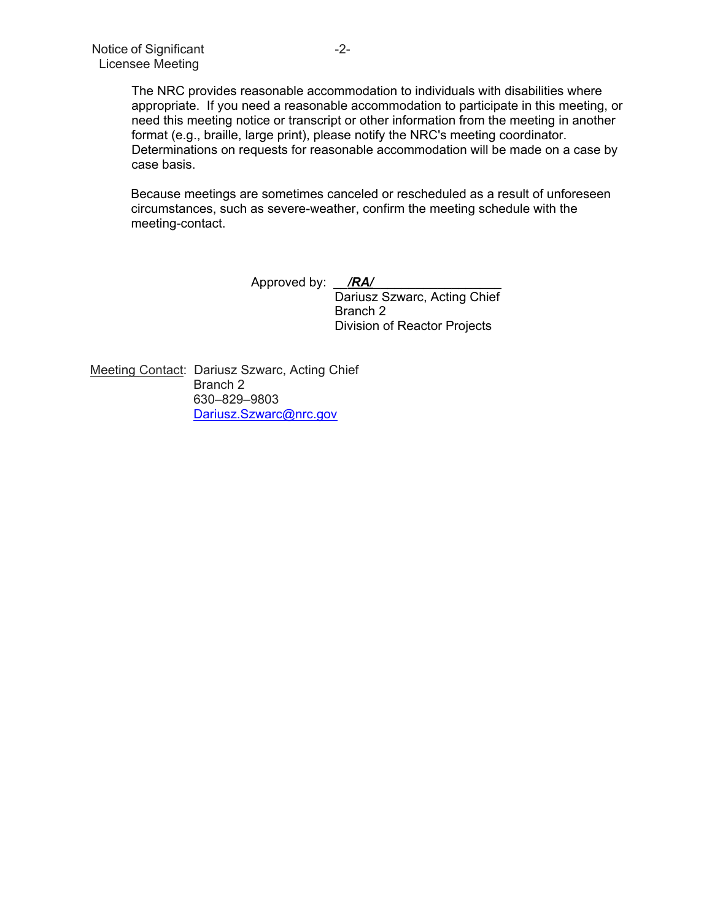The NRC provides reasonable accommodation to individuals with disabilities where appropriate. If you need a reasonable accommodation to participate in this meeting, or need this meeting notice or transcript or other information from the meeting in another format (e.g., braille, large print), please notify the NRC's meeting coordinator. Determinations on requests for reasonable accommodation will be made on a case by case basis.

Because meetings are sometimes canceled or rescheduled as a result of unforeseen circumstances, such as severe-weather, confirm the meeting schedule with the meeting-contact.

> Approved by: <u>/RA/</u> Dariusz Szwarc, Acting Chief Branch 2 Division of Reactor Projects

Meeting Contact: Dariusz Szwarc, Acting Chief Branch 2 630–829–9803 Dariusz.Szwarc@nrc.gov